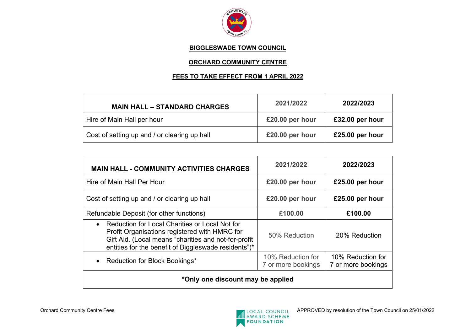

### **BIGGLESWADE TOWN COUNCIL**

# **ORCHARD COMMUNITY CENTRE**

## **FEES TO TAKE EFFECT FROM 1 APRIL 2022**

| <b>MAIN HALL - STANDARD CHARGES</b>          | 2021/2022       | 2022/2023       |
|----------------------------------------------|-----------------|-----------------|
| Hire of Main Hall per hour                   | £20.00 per hour | £32.00 per hour |
| Cost of setting up and / or clearing up hall | £20.00 per hour | £25.00 per hour |

| <b>MAIN HALL - COMMUNITY ACTIVITIES CHARGES</b>                                                                                                                                                                              | 2021/2022                               | 2022/2023                               |  |
|------------------------------------------------------------------------------------------------------------------------------------------------------------------------------------------------------------------------------|-----------------------------------------|-----------------------------------------|--|
| Hire of Main Hall Per Hour                                                                                                                                                                                                   | £20.00 per hour                         | £25.00 per hour                         |  |
| Cost of setting up and / or clearing up hall                                                                                                                                                                                 | £20.00 per hour                         | £25.00 per hour                         |  |
| Refundable Deposit (for other functions)                                                                                                                                                                                     | £100.00                                 | £100.00                                 |  |
| Reduction for Local Charities or Local Not for<br>$\bullet$<br>Profit Organisations registered with HMRC for<br>Gift Aid. (Local means "charities and not-for-profit<br>entities for the benefit of Biggleswade residents")* | 50% Reduction                           | 20% Reduction                           |  |
| Reduction for Block Bookings*<br>$\bullet$                                                                                                                                                                                   | 10% Reduction for<br>7 or more bookings | 10% Reduction for<br>7 or more bookings |  |
| *Only one discount may be applied                                                                                                                                                                                            |                                         |                                         |  |